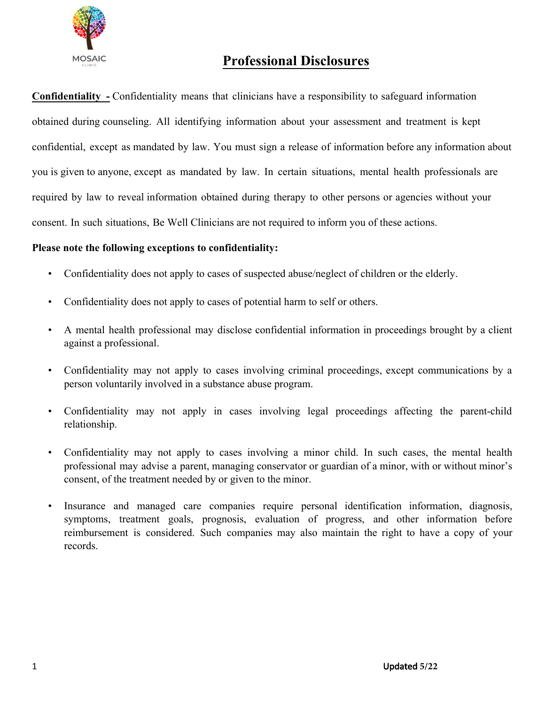

# **Professional Disclosures**

**Confidentiality -** Confidentiality means that clinicians have a responsibility to safeguard information obtained during counseling. All identifying information about your assessment and treatment is kept confidential, except as mandated by law. You must sign a release of information before any information about you is given to anyone, except as mandated by law. In certain situations, mental health professionals are required by law to reveal information obtained during therapy to other persons or agencies without your consent. In such situations, Be Well Clinicians are not required to inform you of these actions.

# **Please note the following exceptions to confidentiality:**

- Confidentiality does not apply to cases of suspected abuse/neglect of children or the elderly.
- Confidentiality does not apply to cases of potential harm to self or others.
- A mental health professional may disclose confidential information in proceedings brought by a client against a professional.
- Confidentiality may not apply to cases involving criminal proceedings, except communications by a person voluntarily involved in a substance abuse program.
- Confidentiality may not apply in cases involving legal proceedings affecting the parent-child relationship.
- Confidentiality may not apply to cases involving a minor child. In such cases, the mental health professional may advise a parent, managing conservator or guardian of a minor, with or without minor's consent, of the treatment needed by or given to the minor.
- Insurance and managed care companies require personal identification information, diagnosis, symptoms, treatment goals, prognosis, evaluation of progress, and other information before reimbursement is considered. Such companies may also maintain the right to have a copy of your records.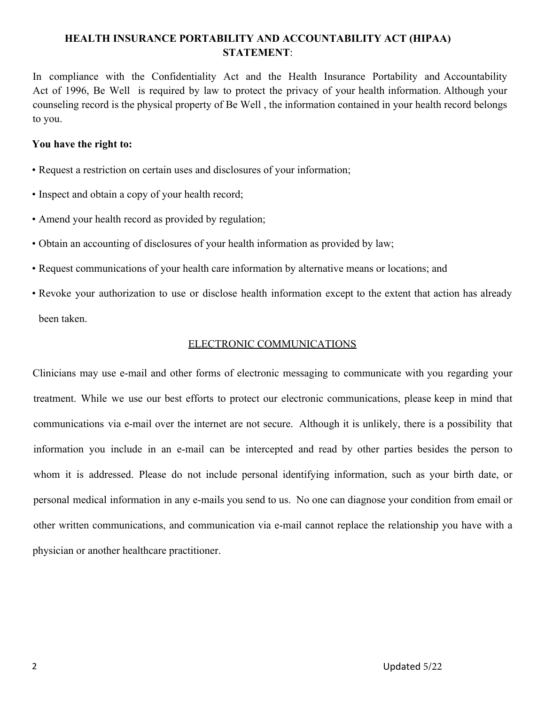# **HEALTH INSURANCE PORTABILITY AND ACCOUNTABILITY ACT (HIPAA) STATEMENT**:

In compliance with the Confidentiality Act and the Health Insurance Portability and Accountability Act of 1996, Be Well is required by law to protect the privacy of your health information. Although your counseling record is the physical property of Be Well , the information contained in your health record belongs to you.

## **You have the right to:**

- Request a restriction on certain uses and disclosures of your information;
- Inspect and obtain a copy of your health record;
- Amend your health record as provided by regulation;
- Obtain an accounting of disclosures of your health information as provided by law;
- Request communications of your health care information by alternative means or locations; and
- Revoke your authorization to use or disclose health information except to the extent that action has already been taken.

## ELECTRONIC COMMUNICATIONS

Clinicians may use e-mail and other forms of electronic messaging to communicate with you regarding your treatment. While we use our best efforts to protect our electronic communications, please keep in mind that communications via e-mail over the internet are not secure. Although it is unlikely, there is a possibility that information you include in an e-mail can be intercepted and read by other parties besides the person to whom it is addressed. Please do not include personal identifying information, such as your birth date, or personal medical information in any e-mails you send to us. No one can diagnose your condition from email or other written communications, and communication via e-mail cannot replace the relationship you have with a physician or another healthcare practitioner.